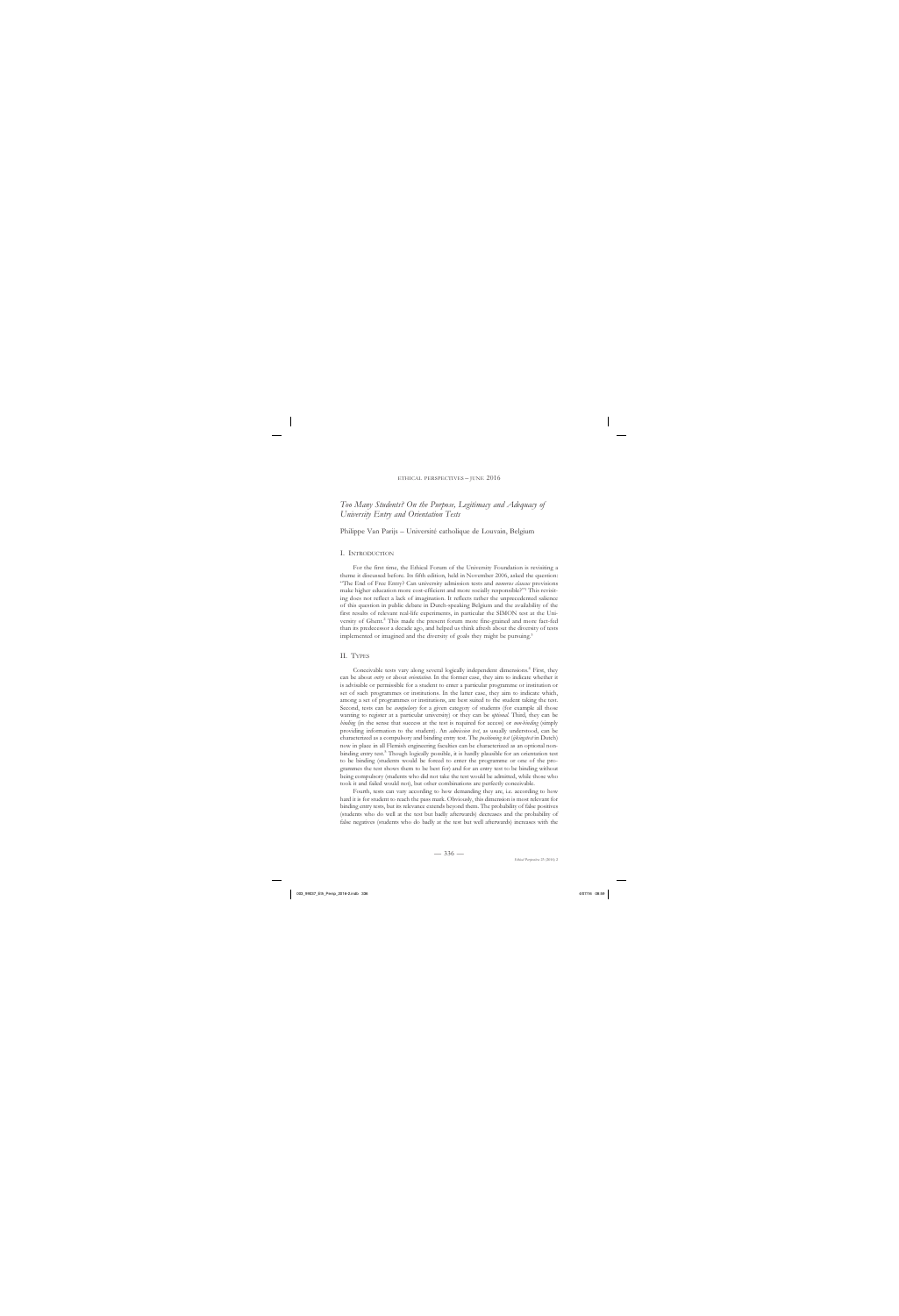# *Too Many Students? On the Purpose, Legitimacy and Adequacy of University Entry and Orientation Tests*

# Philippe Van Parijs – Université catholique de Louvain, Belgium

### I. Introduction

For the first time, the Ethical Forum of the University Foundation is revisiting a theme it discussed before. Its fifth edition, held in November 2006, asked the question: "The End of Free Entry? Can university admission tests and *numerus clausus* provisions make higher education more cost-efficient and more socially responsible?"1 This revisiting does not reflect a lack of imagination. It reflects rather the unprecedented salience of this question in public debate in Dutch-speaking Belgium and the availability of the first results of relevant real-life experiments, in particular the SIMON test at the University of Ghent.<sup>2</sup> This made the present forum more fine-grained and more fact-fed than its predecessor a decade ago, and helped us think afresh about the diversity of tests implemented or imagined and the diversity of goals they might be pursuing.<sup>3</sup>

### II. Types

Conceivable tests vary along several logically independent dimensions.<sup>4</sup> First, they can be about *entry* or about *orientation*. In the former case, they aim to indicate whether it is advisable or permissible for a student to enter a particular programme or institution or set of such programmes or institutions. In the latter case, they aim to indicate which, among a set of programmes or institutions, are best suited to the student taking the test. Second, tests can be *compulsory* for a given category of students (for example all those wanting to register at a particular university) or they can be *optional*. Third, they can be *binding* (in the sense that success at the test is required for access) or *non-binding* (simply providing information to the student). An *admission test*, as usually understood, can be characterized as a compulsory and binding entry test. The *positioning test* (*ijkingstest* in Dutch) now in place in all Flemish engineering faculties can be characterized as an optional nonbinding entry test.<sup>5</sup> Though logically possible, it is hardly plausible for an orientation test to be binding (students would be forced to enter the programme or one of the programmes the test shows them to be best for) and for an entry test to be binding without being compulsory (students who did not take the test would be admitted, while those who took it and failed would not), but other combinations are perfectly conceivable.

Fourth, tests can vary according to how demanding they are, i.e. according to how hard it is for student to reach the pass mark. Obviously, this dimension is most relevant for binding entry tests, but its relevance extends beyond them. The probability of false positives (students who do well at the test but badly afterwards) decreases and the probability of false negatives (students who do badly at the test but well afterwards) increases with the

 $-336-$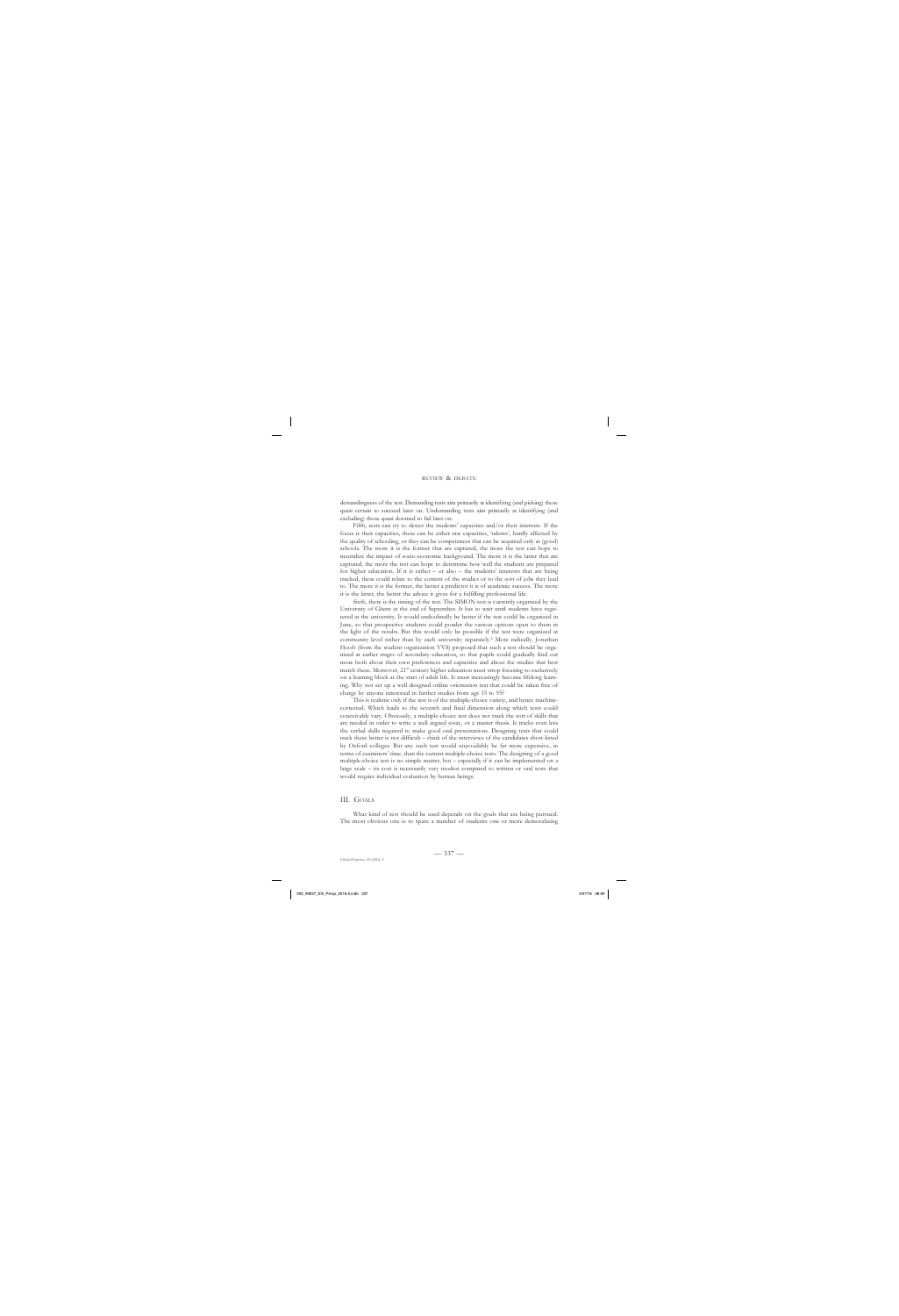demandingness of the test. Demanding tests aim primarily at identifying (and picking) those quasi certain to succeed later on. Undemanding tests aim primarily at identifying (and excluding) those quasi doomed to fail later on.

Fifth, tests can try to detect the students' capacities and/or their interests. If the focus is their capacities, these can be either raw capacities, 'talents', hardly affected by the quality of schooling, or they can be competences that can be acquired only at (good) schools. The more it is the former that are captured, the more the test can hope to neutralize the impact of socio-economic background. The more it is the latter that are captured, the more the test can hope to determine how well the students are prepared for higher education. If it is rather – or also – the students' interests that are being tracked, these could relate to the content of the studies or to the sort of jobs they lead to. The more it is the former, the better a predictor it is of academic success. The more it is the latter, the better the advice it gives for a fulfilling professional life.

Sixth, there is the timing of the test. The SIMON test is currently organized by the University of Ghent at the end of September. It has to wait until students have registered at the university. It would undoubtedly be better if the test could be organized in June, so that prospective students could ponder the various options open to them in the light of the results. But this would only be possible if the test were organized at community level rather than by each university separately.6 More radically, Jonathan Hooft (from the student organization VVS) proposed that such a test should be organized at earlier stages of secondary education, so that pupils could gradually find out more both about their own preferences and capacities and about the studies that best match these. Moreover,  $21<sup>st</sup>$  century higher education must strop focusing so exclusively on a learning block at the start of adult life. It must increasingly become lifelong learning. Why not set up a well designed online orientation test that could be taken free of charge by anyone interested in further studies from age 15 to 95?

This is realistic only if the test is of the multiple-choice variety, and hence machinecorrected. Which leads to the seventh and final dimension along which tests could conceivably vary. Obviously, a multiple-choice test does not track the sort of skills that are needed in order to write a well argued essay, or a master thesis. It tracks even less the verbal skills required to make good oral presentations. Designing tests that could track these better is not difficult – think of the interviews of the candidates short-listed by Oxford colleges. But any such test would unavoidably be far more expensive, in terms of examiners' time, than the current multiple-choice tests. The designing of a good multiple-choice test is no simple matter, but – especially if it can be implemented on a large scale – its cost is necessarily very modest compared to written or oral tests that would require individual evaluation by human beings.

# III. Goals

What kind of test should be used depends on the goals that are being pursued. The most obvious one is to spare a number of students one or more demoralizing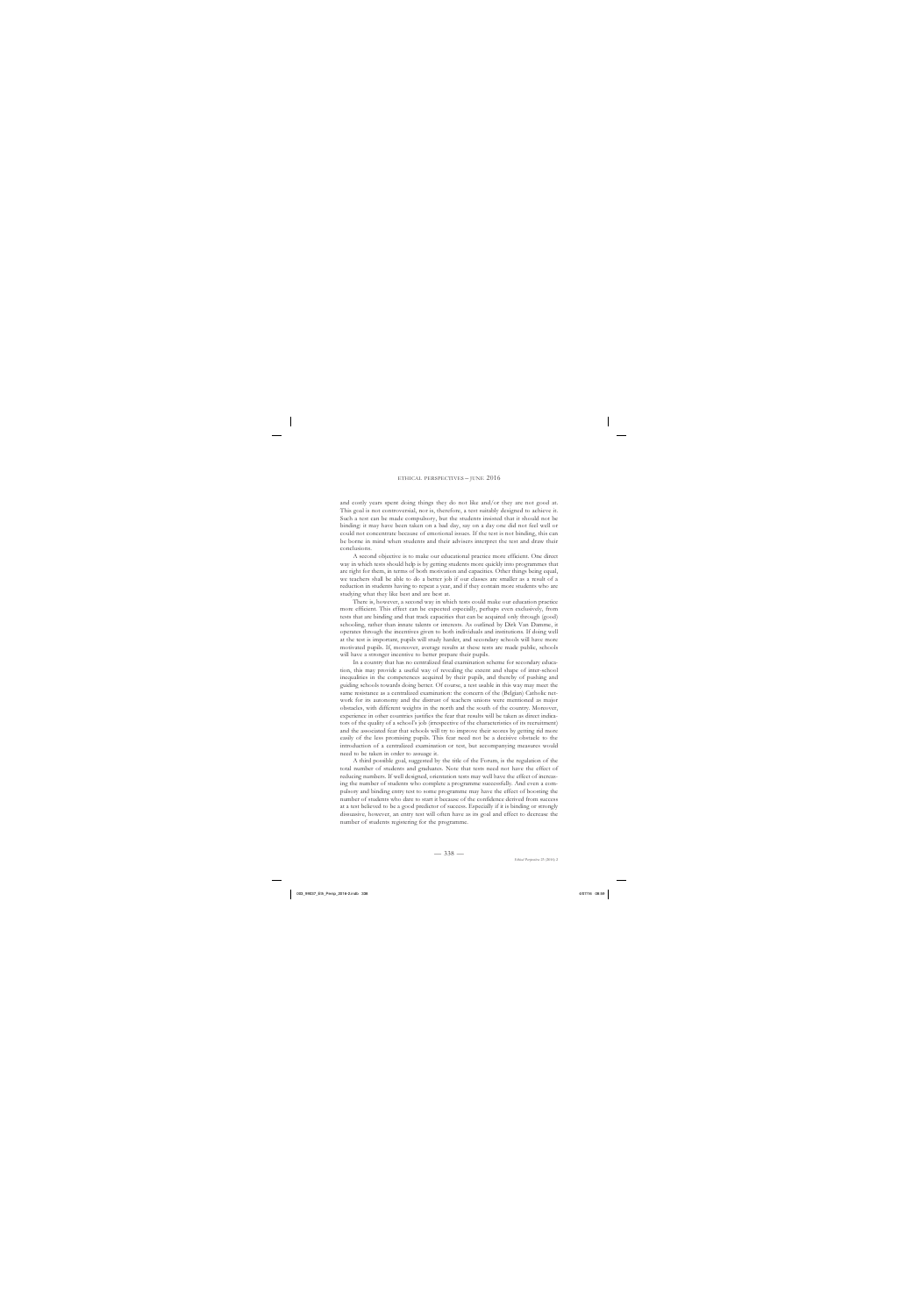#### ethical perspectives – june 2016

and costly years spent doing things they do not like and/or they are not good at. This goal is not controversial, nor is, therefore, a test suitably designed to achieve it. Such a test can be made compulsory, but the students insisted that it should not be binding: it may have been taken on a bad day, say on a day one did not feel well or could not concentrate because of emotional issues. If the test is not binding, this can be borne in mind when students and their advisers interpret the test and draw their conclusions.

A second objective is to make our educational practice more efficient. One direct way in which tests should help is by getting students more quickly into programmes that are right for them, in terms of both motivation and capacities. Other things being equal, we teachers shall be able to do a better job if our classes are smaller as a result of a reduction in students having to repeat a year, and if they contain more students who are studying what they like best and are best at.

There is, however, a second way in which tests could make our education practice more efficient. This effect can be expected especially, perhaps even exclusively, from tests that are binding and that track capacities that can be acquired only through (good) schooling, rather than innate talents or interests. As outlined by Dirk Van Damme, it operates through the incentives given to both individuals and institutions. If doing well at the test is important, pupils will study harder, and secondary schools will have more motivated pupils. If, moreover, average results at these tests are made public, schools will have a stronger incentive to better prepare their pupils.

In a country that has no centralized final examination scheme for secondary education, this may provide a useful way of revealing the extent and shape of inter-school inequalities in the competences acquired by their pupils, and thereby of pushing and guiding schools towards doing better. Of course, a test usable in this way may meet the same resistance as a centralized examination: the concern of the (Belgian) Catholic network for its autonomy and the distrust of teachers unions were mentioned as major obstacles, with different weights in the north and the south of the country. Moreover, experience in other countries justifies the fear that results will be taken as direct indicators of the quality of a school's job (irrespective of the characteristics of its recruitment) and the associated fear that schools will try to improve their scores by getting rid more easily of the less promising pupils. This fear need not be a decisive obstacle to the introduction of a centralized examination or test, but accompanying measures would need to be taken in order to assuage it.

A third possible goal, suggested by the title of the Forum, is the regulation of the total number of students and graduates. Note that tests need not have the effect of reducing numbers. If well designed, orientation tests may well have the effect of increasing the number of students who complete a programme successfully. And even a compulsory and binding entry test to some programme may have the effect of boosting the number of students who dare to start it because of the confidence derived from success at a test believed to be a good predictor of success. Especially if it is binding or strongly dissuasive, however, an entry test will often have as its goal and effect to decrease the number of students registering for the programme.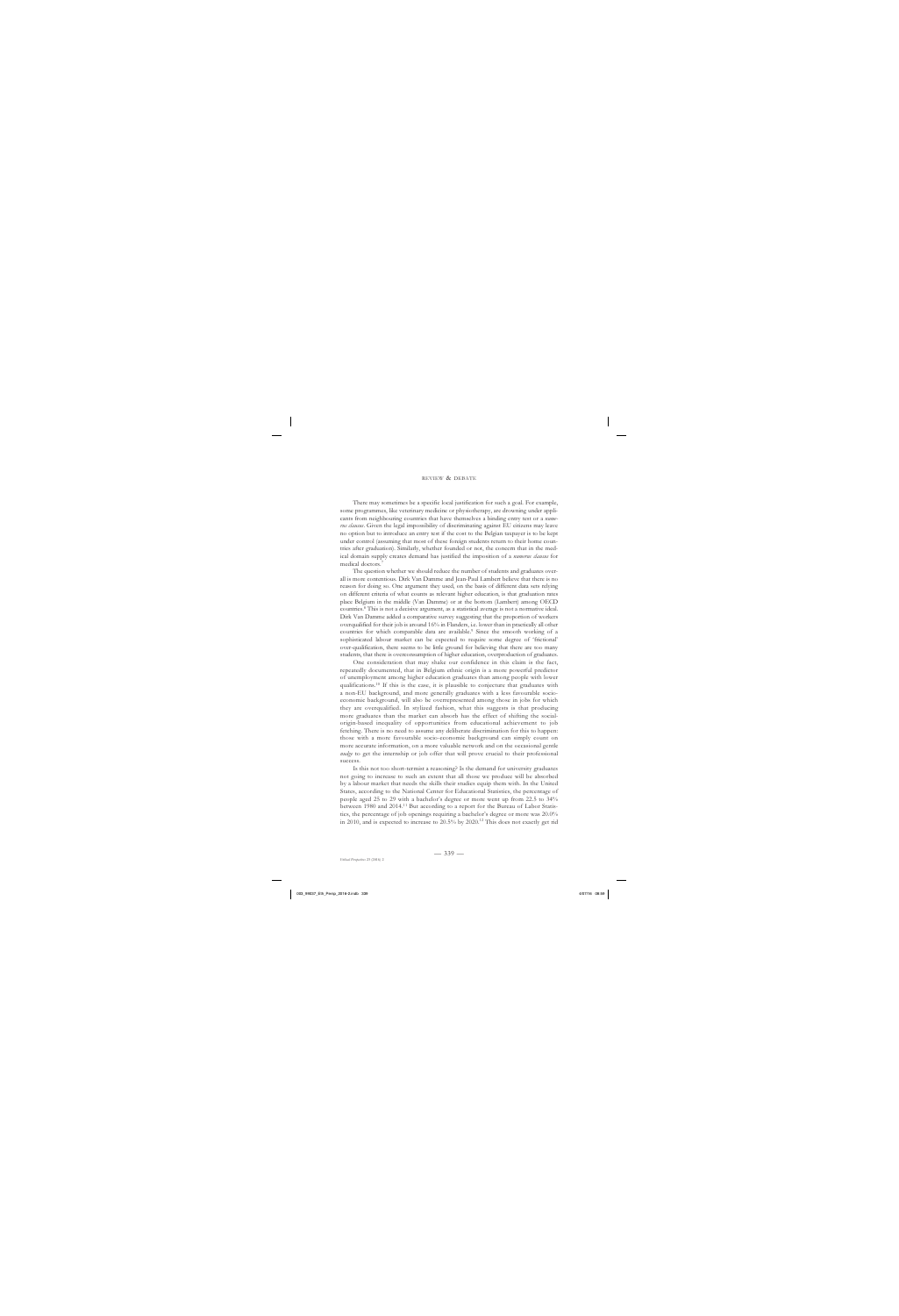#### review & debate

There may sometimes be a specific local justification for such a goal. For example, some programmes, like veterinary medicine or physiotherapy, are drowning under applicants from neighbouring countries that have themselves a binding entry test or a *numerus clausus*. Given the legal impossibility of discriminating against EU citizens may leave no option but to introduce an entry test if the cost to the Belgian taxpayer is to be kept under control (assuming that most of these foreign students return to their home countries after graduation). Similarly, whether founded or not, the concern that in the medical domain supply creates demand has justified the imposition of a *numerus clausus* for medical doctors.7

The question whether we should reduce the number of students and graduates overall is more contentious. Dirk Van Damme and Jean-Paul Lambert believe that there is no reason for doing so. One argument they used, on the basis of different data sets relying on different criteria of what counts as relevant higher education, is that graduation rates place Belgium in the middle (Van Damme) or at the bottom (Lambert) among OECD countries.8 This is not a decisive argument, as a statistical average is not a normative ideal. Dirk Van Damme added a comparative survey suggesting that the proportion of workers overqualified for their job is around 16% in Flanders, i.e. lower than in practically all other countries for which comparable data are available.<sup>9</sup> Since the smooth working of a sophisticated labour market can be expected to require some degree of 'frictional' over-qualification, there seems to be little ground for believing that there are too many students, that there is overconsumption of higher education, overproduction of graduates.

One consideration that may shake our confidence in this claim is the fact, repeatedly documented, that in Belgium ethnic origin is a more powerful predictor of unemployment among higher education graduates than among people with lower qualifications.10 If this is the case, it is plausible to conjecture that graduates with a non-EU background, and more generally graduates with a less favourable socioeconomic background, will also be overrepresented among those in jobs for which they are overqualified. In stylized fashion, what this suggests is that producing more graduates than the market can absorb has the effect of shifting the socialorigin-based inequality of opportunities from educational achievement to job fetching. There is no need to assume any deliberate discrimination for this to happen: those with a more favourable socio-economic background can simply count on more accurate information, on a more valuable network and on the occasional gentle *nudge* to get the internship or job offer that will prove crucial to their professional success.

Is this not too short-termist a reasoning? Is the demand for university graduates not going to increase to such an extent that all those we produce will be absorbed by a labour market that needs the skills their studies equip them with. In the United States, according to the National Center for Educational Statistics, the percentage of people aged 25 to 29 with a bachelor's degree or more went up from 22.5 to 34% between 1980 and 2014.<sup>11</sup> But according to a report for the Bureau of Labor Statistics, the percentage of job openings requiring a bachelor's degree or more was 20.0% in 2010, and is expected to increase to 20.5% by 2020.12 This does not exactly get rid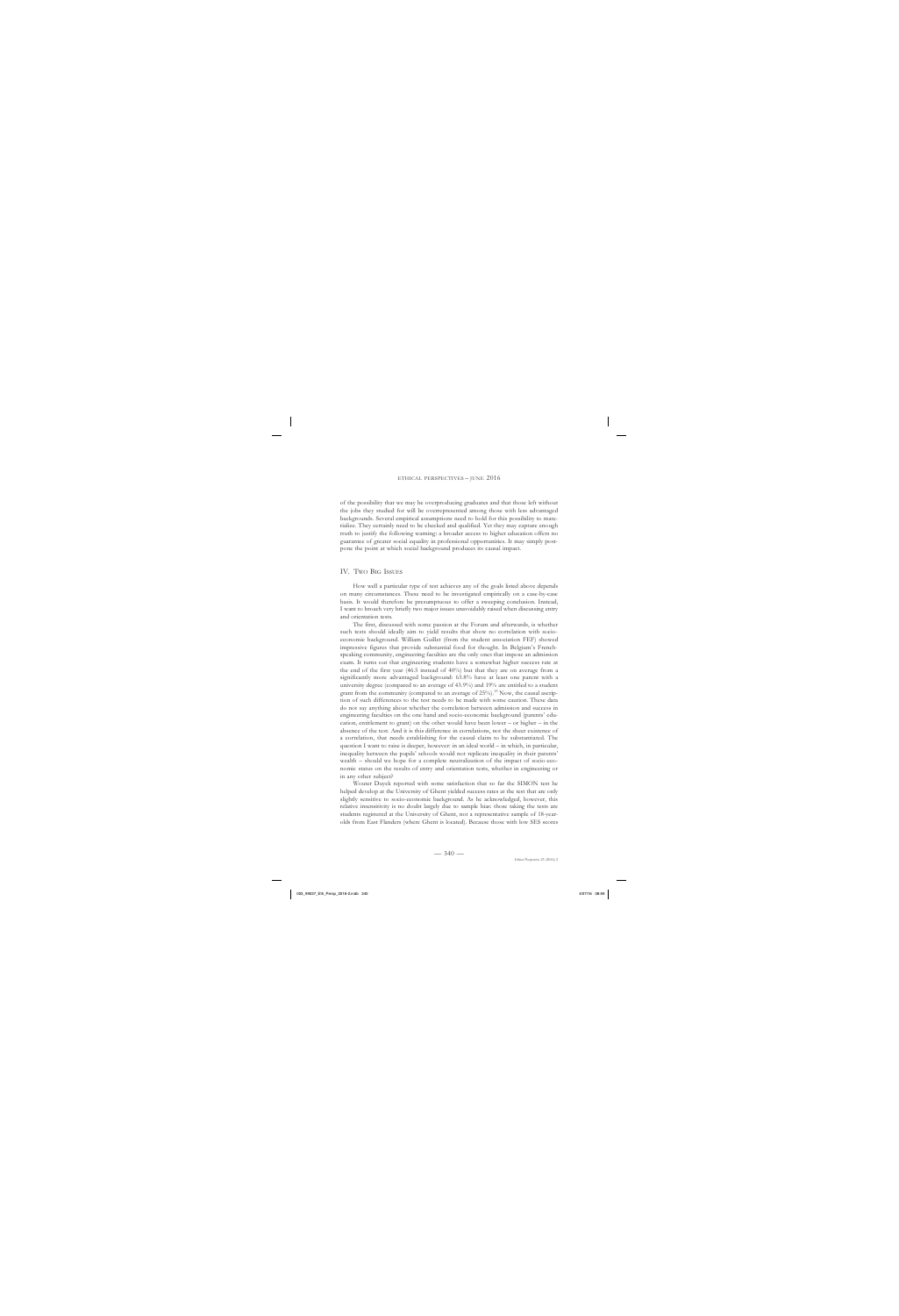of the possibility that we may be overproducing graduates and that those left without the jobs they studied for will be overrepresented among those with less advantaged backgrounds. Several empirical assumptions need to hold for this possibility to materialize. They certainly need to be checked and qualified. Yet they may capture enough truth to justify the following warning: a broader access to higher education offers no guarantee of greater social equality in professional opportunities. It may simply postpone the point at which social background produces its causal impact.

### IV. Two Big Issues

How well a particular type of test achieves any of the goals listed above depends on many circumstances. These need to be investigated empirically on a case-by-case basis. It would therefore be presumptuous to offer a sweeping conclusion. Instead, I want to broach very briefly two major issues unavoidably raised when discussing entry and orientation tests.

The first, discussed with some passion at the Forum and afterwards, is whether such tests should ideally aim to yield results that show no correlation with socioeconomic background. William Guillet (from the student association FEF) showed impressive figures that provide substantial food for thought. In Belgium's Frenchspeaking community, engineering faculties are the only ones that impose an admission exam. It turns out that engineering students have a somewhat higher success rate at the end of the first year (46.5 instead of 40%) but that they are on average from a significantly more advantaged background: 63.8% have at least one parent with a university degree (compared to an average of 43.9%) and 19% are entitled to a student grant from the community (compared to an average of 25%).<sup>13</sup> Now, the causal ascription of such differences to the test needs to be made with some caution. These data do not say anything about whether the correlation between admission and success in engineering faculties on the one hand and socio-economic background (parents' education, entitlement to grant) on the other would have been lower – or higher – in the absence of the test. And it is this difference in correlations, not the sheer existence of a correlation, that needs establishing for the causal claim to be substantiated. The question I want to raise is deeper, however: in an ideal world – in which, in particular, inequality between the pupils' schools would not replicate inequality in their parents' wealth – should we hope for a complete neutralization of the impact of socio-economic status on the results of entry and orientation tests, whether in engineering or in any other subject?

Wouter Duyck reported with some satisfaction that so far the SIMON test he helped develop at the University of Ghent yielded success rates at the test that are only slightly sensitive to socio-economic background. As he acknowledged, however, this relative insensitivity is no doubt largely due to sample bias: those taking the tests are students registered at the University of Ghent, not a representative sample of 18-yearolds from East Flanders (where Ghent is located). Because those with low SES scores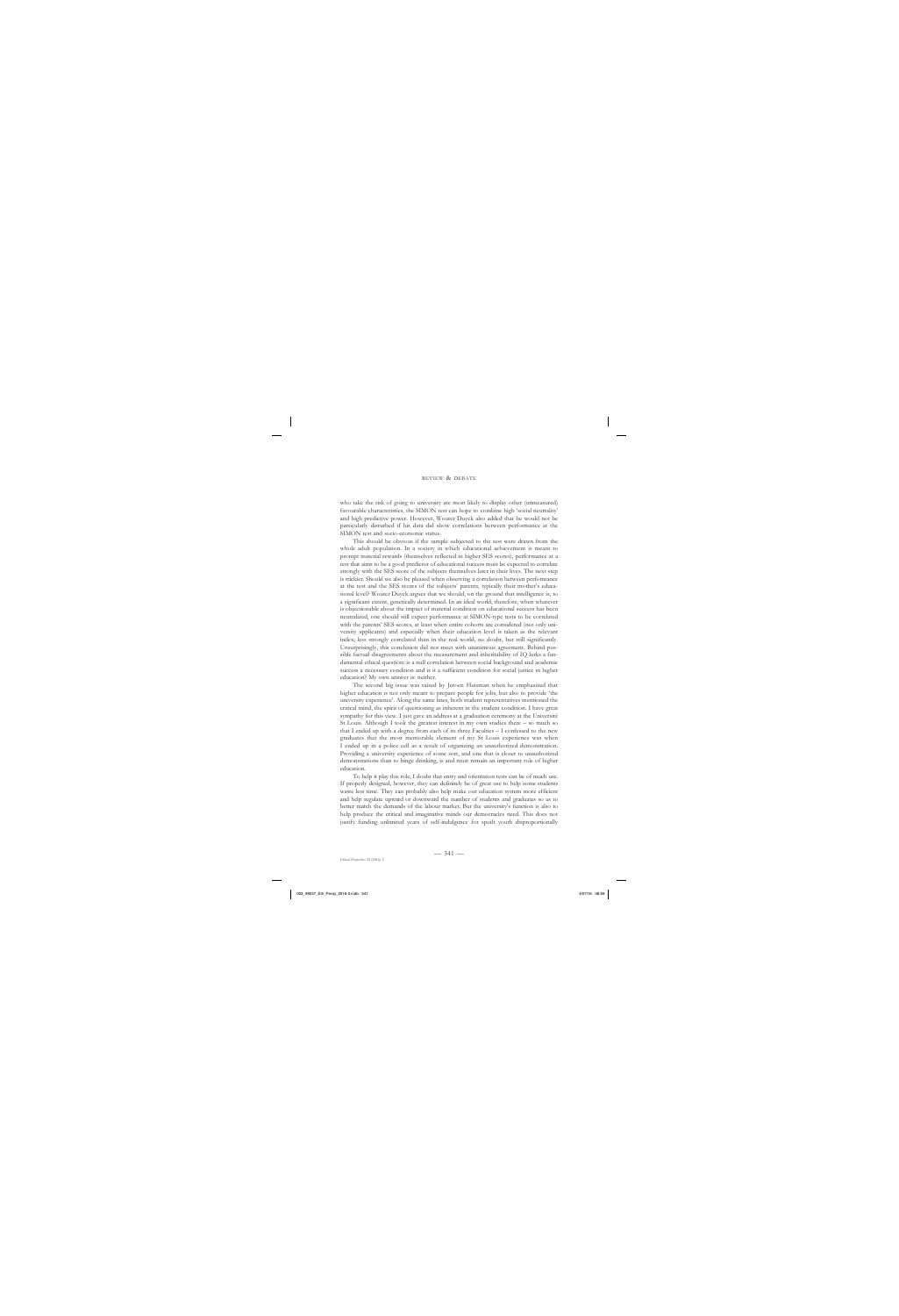#### review & debate

who take the risk of going to university are most likely to display other (unmeasured) favourable characteristics, the SIMON test can hope to combine high 'social neutrality' and high predictive power. However, Wouter Duyck also added that he would not be particularly disturbed if his data did show correlations between performance at the SIMON test and socio-economic status.

This should be obvious if the sample subjected to the test were drawn from the whole adult population. In a society in which educational achievement is meant to prompt material rewards (themselves reflected in higher SES scores), performance at a test that aims to be a good predictor of educational success must be expected to correlate strongly with the SES score of the subjects themselves later in their lives. The next step is trickier. Should we also be pleased when observing a correlation between performance at the test and the SES scores of the subjects' parents, typically their mother's educational level? Wouter Duyck argues that we should, on the ground that intelligence is, to a significant extent, genetically determined. In an ideal world, therefore, when whatever is objectionable about the impact of material condition on educational success has been neutralized, one should still expect performance at SIMON-type tests to be correlated with the parents' SES scores, at least when entire cohorts are considered (not only university applicants) and especially when their education level is taken as the relevant index; less strongly correlated than in the real world, no doubt, but still significantly. Unsurprisingly, this conclusion did not meet with unanimous agreement. Behind possible factual disagreements about the measurement and inheritability of IQ lurks a fundamental ethical question: is a null correlation between social background and academic success a necessary condition and is it a sufficient condition for social justice in higher education? My own answer is: neither.

The second big issue was raised by Jeroen Huisman when he emphasized that higher education is not only meant to prepare people for jobs, but also to provide 'the university experience'. Along the same lines, both student representatives mentioned the critical mind, the spirit of questioning as inherent in the student condition. I have great sympathy for this view. I just gave an address at a graduation ceremony at the Université St Louis. Although I took the greatest interest in my own studies there – so much so that I ended up with a degree from each of its three Faculties – I confessed to the new graduates that the most memorable element of my St Louis experience was when I ended up in a police cell as a result of organizing an unauthorized demonstration. Providing a university experience of some sort, and one that is closer to unauthorized demonstrations than to binge drinking, is and must remain an important role of higher education.

To help it play this role, I doubt that entry and orientation tests can be of much use. If properly designed, however, they can definitely be of great use to help some students waste less time. They can probably also help make our education system more efficient and help regulate upward or downward the number of students and graduates so as to better match the demands of the labour market. But the university's function is also to help produce the critical and imaginative minds our democracies need. This does not justify funding unlimited years of self-indulgence for spoilt youth disproportionally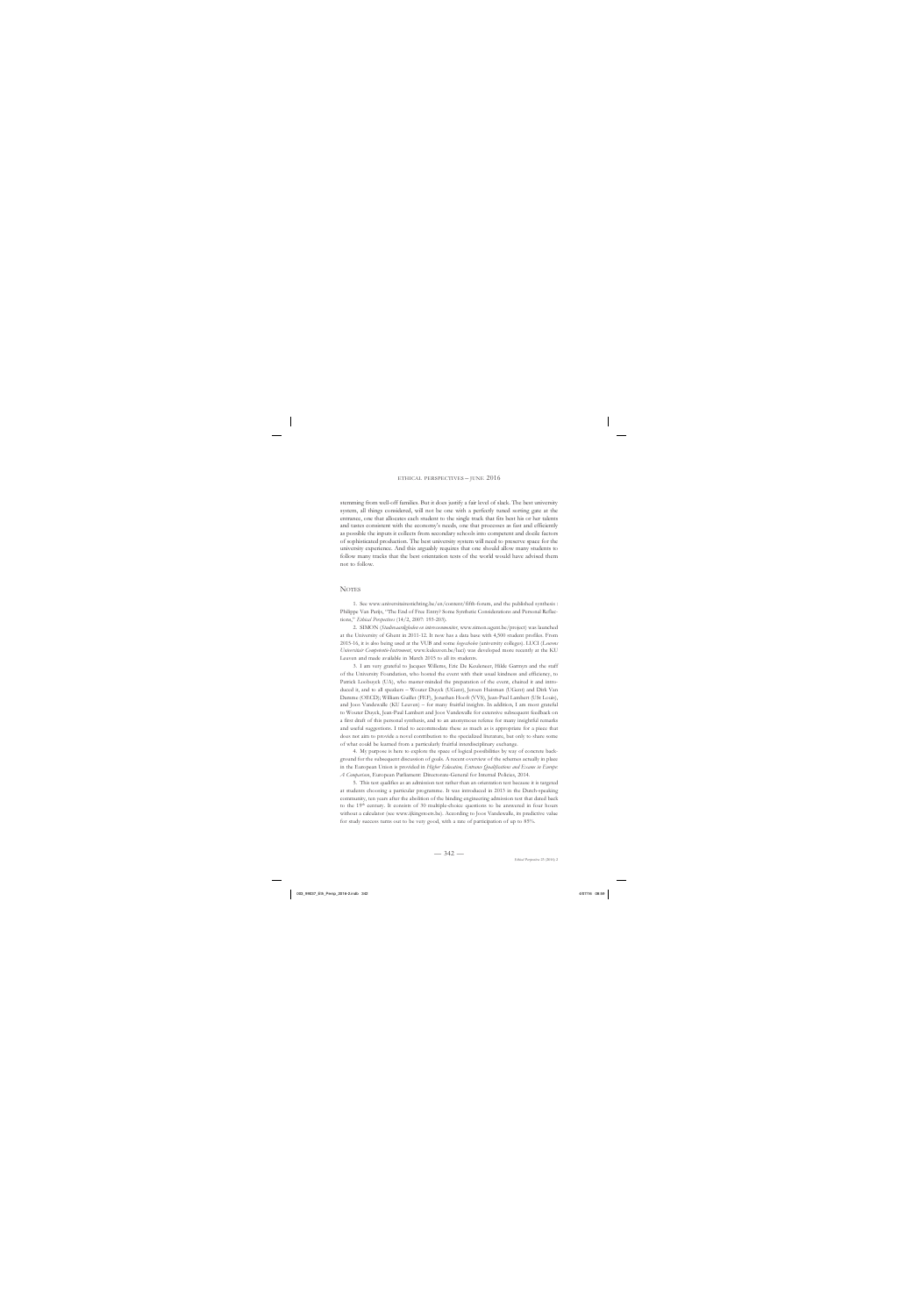stemming from well-off families. But it does justify a fair level of slack. The best university system, all things considered, will not be one with a perfectly tuned sorting gate at the entrance, one that allocates each student to the single track that fits best his or her talents and tastes consistent with the economy's needs, one that processes as fast and efficiently as possible the inputs it collects from secondary schools into competent and docile factors of sophisticated production. The best university system will need to preserve space for the university experience. And this arguably requires that one should allow many students to follow many tracks that the best orientation tests of the world would have advised them not to follow.

## **NOTES**

1. See www.universitairestichting.be/en/content/fifth-forum, and the published synthesis : Philippe Van Parijs, "The End of Free Entry? Some Synthetic Considerations and Personal Reflections," *Ethical Perspectives* (14/2, 2007: 193-203).

2. SIMON (*Studievaardigheden en interessenmonitor*, www.simon.ugent.be/project) was launched at the University of Ghent in 2011-12. It now has a data base with 4,500 student profiles. From 2015-16, it is also being used at the VUB and some *hogescholen* (university colleges). LUCI (*Leuvens Universitair Competentie-Instrument*, www.kuleuven.be/luci) was developed more recently at the KU Leuven and made available in March 2015 to all its students.

3. I am very grateful to Jacques Willems, Eric De Keuleneer, Hilde Garmyn and the staff of the University Foundation, who hosted the event with their usual kindness and efficiency, to Patrick Loobuyck (UA), who master-minded the preparation of the event, chaired it and introduced it, and to all speakers – Wouter Duyck (UGent), Jeroen Huisman (UGent) and Dirk Van Damme (OECD); William Guillet (FEF), Jonathan Hooft (VVS), Jean-Paul Lambert (USt Louis), and Joos Vandewalle (KU Leuven) – for many fruitful insights. In addition, I am most grateful to Wouter Duyck, Jean-Paul Lambert and Joos Vandewalle for extensive subsequent feedback on a first draft of this personal synthesis, and to an anonymous referee for many insightful remarks and useful suggestions. I tried to accommodate these as much as is appropriate for a piece that does not aim to provide a novel contribution to the specialized literature, but only to share some of what could be learned from a particularly fruitful interdisciplinary exchange.

4. My purpose is here to explore the space of logical possibilities by way of concrete background for the subsequent discussion of goals. A recent overview of the schemes actually in place in the European Union is provided in *Higher Education, Entrance Qualifications and Exams in Europe: A Comparison*, European Parliament: Directorate-General for Internal Policies, 2014.

5. This test qualifies as an admission test rather than an orientation test because it is targeted at students choosing a particular programme. It was introduced in 2013 in the Dutch-speaking community, ten years after the abolition of the binding engineering admission test that dated back to the 19th century. It consists of 30 multiple-choice questions to be answered in four hours without a calculator (see www.ijkingstoets.be). According to Joos Vandewalle, its predictive value for study success turns out to be very good, with a rate of participation of up to 85%.

 $-342-$